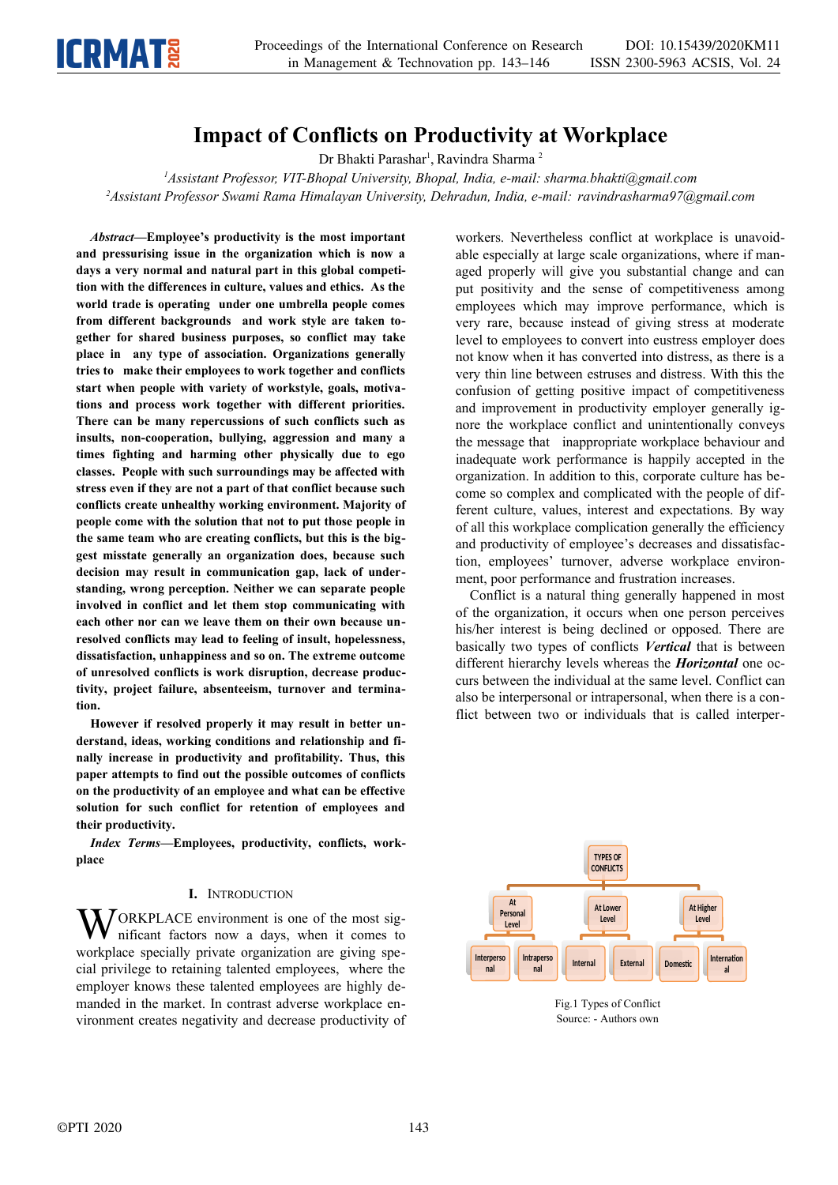

# **Impact of Conflicts on Productivity at Workplace**

Dr Bhakti Parashar<sup>1</sup>, Ravindra Sharma<sup>2</sup>

*<sup>1</sup>Assistant Professor, VIT-Bhopal University, Bhopal, India, e-mail: sharma.bhakti@gmail.com <sup>2</sup>Assistant Professor Swami Rama Himalayan University, Dehradun, India, e-mail: ravindrasharma97@gmail.com*

*Abstract***—Employee's productivity is the most important and pressurising issue in the organization which is now a days a very normal and natural part in this global competition with the differences in culture, values and ethics. As the world trade is operating under one umbrella people comes from different backgrounds and work style are taken together for shared business purposes, so conflict may take place in any type of association. Organizations generally tries to make their employees to work together and conflicts start when people with variety of workstyle, goals, motivations and process work together with different priorities. There can be many repercussions of such conflicts such as insults, non-cooperation, bullying, aggression and many a times fighting and harming other physically due to ego classes. People with such surroundings may be affected with stress even if they are not a part of that conflict because such conflicts create unhealthy working environment. Majority of people come with the solution that not to put those people in the same team who are creating conflicts, but this is the biggest misstate generally an organization does, because such decision may result in communication gap, lack of understanding, wrong perception. Neither we can separate people involved in conflict and let them stop communicating with each other nor can we leave them on their own because unresolved conflicts may lead to feeling of insult, hopelessness, dissatisfaction, unhappiness and so on. The extreme outcome of unresolved conflicts is work disruption, decrease productivity, project failure, absenteeism, turnover and termination.** 

**However if resolved properly it may result in better understand, ideas, working conditions and relationship and finally increase in productivity and profitability. Thus, this paper attempts to find out the possible outcomes of conflicts on the productivity of an employee and what can be effective solution for such conflict for retention of employees and their productivity.** 

*Index Terms***—Employees, productivity, conflicts, workplace**

# **I.** INTRODUCTION

ORKPLACE environment is one of the most significant factors now a days, when it comes to workplace specially private organization are giving special privilege to retaining talented employees, where the employer knows these talented employees are highly demanded in the market. In contrast adverse workplace environment creates negativity and decrease productivity of W<sub>1</sub>

workers. Nevertheless conflict at workplace is unavoidable especially at large scale organizations, where if managed properly will give you substantial change and can put positivity and the sense of competitiveness among employees which may improve performance, which is very rare, because instead of giving stress at moderate level to employees to convert into eustress employer does not know when it has converted into distress, as there is a very thin line between estruses and distress. With this the confusion of getting positive impact of competitiveness and improvement in productivity employer generally ignore the workplace conflict and unintentionally conveys the message that inappropriate workplace behaviour and inadequate work performance is happily accepted in the organization. In addition to this, corporate culture has become so complex and complicated with the people of different culture, values, interest and expectations. By way of all this workplace complication generally the efficiency and productivity of employee's decreases and dissatisfaction, employees' turnover, adverse workplace environment, poor performance and frustration increases.

Conflict is a natural thing generally happened in most of the organization, it occurs when one person perceives his/her interest is being declined or opposed. There are basically two types of conflicts *Vertical* that is between different hierarchy levels whereas the *Horizontal* one occurs between the individual at the same level. Conflict can also be interpersonal or intrapersonal, when there is a conflict between two or individuals that is called interper-



Fig.1 Types of Conflict Source: - Authors own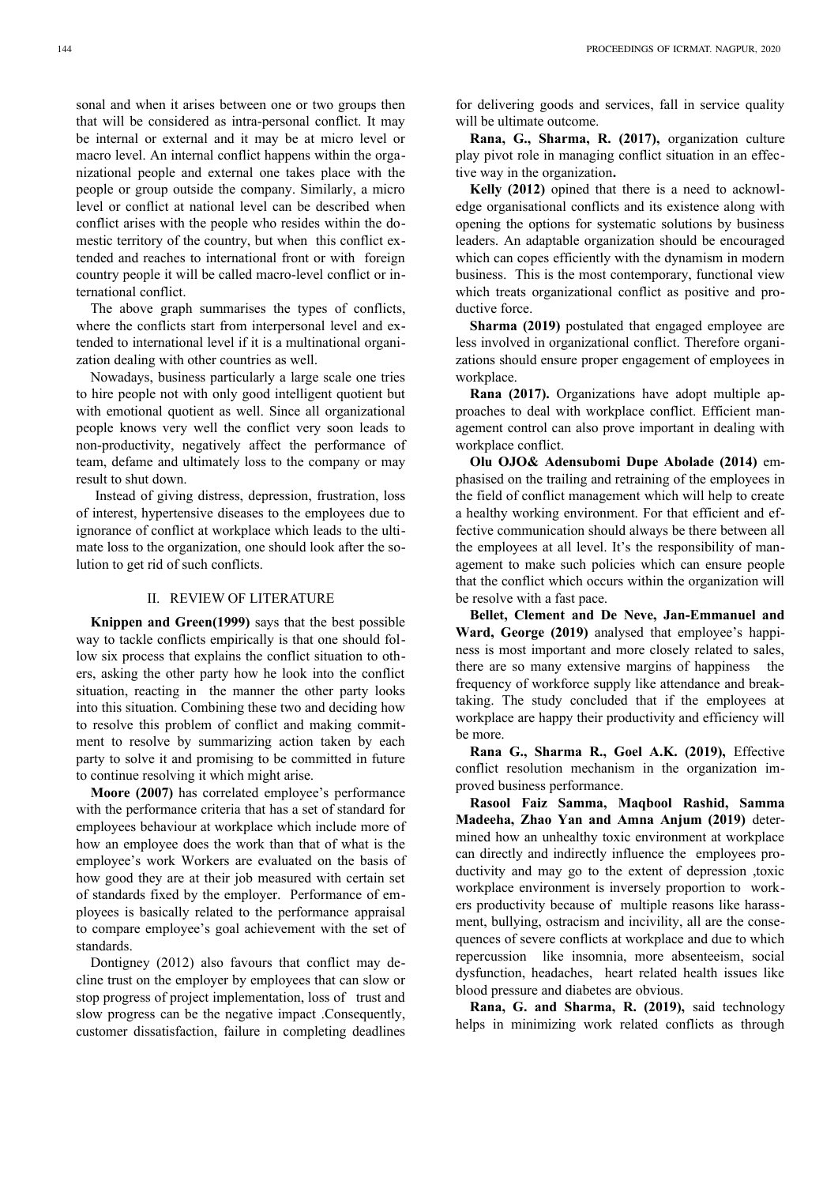sonal and when it arises between one or two groups then that will be considered as intra-personal conflict. It may be internal or external and it may be at micro level or macro level. An internal conflict happens within the organizational people and external one takes place with the people or group outside the company. Similarly, a micro level or conflict at national level can be described when conflict arises with the people who resides within the domestic territory of the country, but when this conflict extended and reaches to international front or with foreign country people it will be called macro-level conflict or international conflict.

The above graph summarises the types of conflicts, where the conflicts start from interpersonal level and extended to international level if it is a multinational organization dealing with other countries as well.

Nowadays, business particularly a large scale one tries to hire people not with only good intelligent quotient but with emotional quotient as well. Since all organizational people knows very well the conflict very soon leads to non-productivity, negatively affect the performance of team, defame and ultimately loss to the company or may result to shut down.

 Instead of giving distress, depression, frustration, loss of interest, hypertensive diseases to the employees due to ignorance of conflict at workplace which leads to the ultimate loss to the organization, one should look after the solution to get rid of such conflicts.

## II. REVIEW OF LITERATURE

**Knippen and Green(1999)** says that the best possible way to tackle conflicts empirically is that one should follow six process that explains the conflict situation to others, asking the other party how he look into the conflict situation, reacting in the manner the other party looks into this situation. Combining these two and deciding how to resolve this problem of conflict and making commitment to resolve by summarizing action taken by each party to solve it and promising to be committed in future to continue resolving it which might arise.

**Moore (2007)** has correlated employee's performance with the performance criteria that has a set of standard for employees behaviour at workplace which include more of how an employee does the work than that of what is the employee's work Workers are evaluated on the basis of how good they are at their job measured with certain set of standards fixed by the employer. Performance of employees is basically related to the performance appraisal to compare employee's goal achievement with the set of standards.

Dontigney (2012) also favours that conflict may decline trust on the employer by employees that can slow or stop progress of project implementation, loss of trust and slow progress can be the negative impact .Consequently, customer dissatisfaction, failure in completing deadlines

for delivering goods and services, fall in service quality will be ultimate outcome.

**Rana, G., Sharma, R. (2017),** organization culture play pivot role in managing conflict situation in an effective way in the organization**.** 

**Kelly (2012)** opined that there is a need to acknowledge organisational conflicts and its existence along with opening the options for systematic solutions by business leaders. An adaptable organization should be encouraged which can copes efficiently with the dynamism in modern business. This is the most contemporary, functional view which treats organizational conflict as positive and productive force.

**Sharma (2019)** postulated that engaged employee are less involved in organizational conflict. Therefore organizations should ensure proper engagement of employees in workplace.

**Rana (2017).** Organizations have adopt multiple approaches to deal with workplace conflict. Efficient management control can also prove important in dealing with workplace conflict.

**Olu OJO& Adensubomi Dupe Abolade (2014)** emphasised on the trailing and retraining of the employees in the field of conflict management which will help to create a healthy working environment. For that efficient and effective communication should always be there between all the employees at all level. It's the responsibility of management to make such policies which can ensure people that the conflict which occurs within the organization will be resolve with a fast pace.

**Bellet, Clement and De Neve, Jan-Emmanuel and Ward, George (2019)** analysed that employee's happiness is most important and more closely related to sales, there are so many extensive margins of happiness the frequency of workforce supply like attendance and breaktaking. The study concluded that if the employees at workplace are happy their productivity and efficiency will be more.

**Rana G., Sharma R., Goel A.K. (2019),** Effective conflict resolution mechanism in the organization improved business performance.

**Rasool Faiz Samma, Maqbool Rashid, Samma Madeeha, Zhao Yan and Amna Anjum (2019)** determined how an unhealthy toxic environment at workplace can directly and indirectly influence the employees productivity and may go to the extent of depression ,toxic workplace environment is inversely proportion to workers productivity because of multiple reasons like harassment, bullying, ostracism and incivility, all are the consequences of severe conflicts at workplace and due to which repercussion like insomnia, more absenteeism, social dysfunction, headaches, heart related health issues like blood pressure and diabetes are obvious.

**Rana, G. and Sharma, R. (2019),** said technology helps in minimizing work related conflicts as through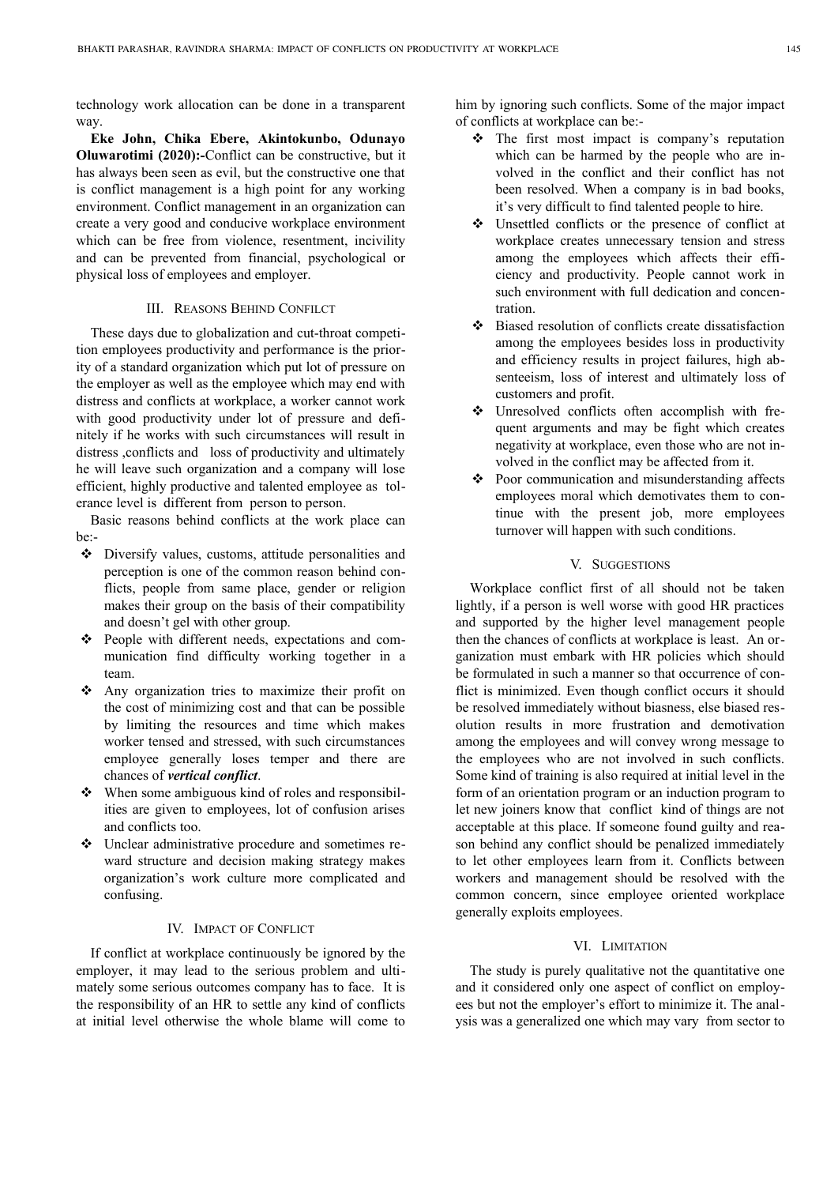technology work allocation can be done in a transparent way.

**Eke John, Chika Ebere, Akintokunbo, Odunayo Oluwarotimi (2020):-**Conflict can be constructive, but it has always been seen as evil, but the constructive one that is conflict management is a high point for any working environment. Conflict management in an organization can create a very good and conducive workplace environment which can be free from violence, resentment, incivility and can be prevented from financial, psychological or physical loss of employees and employer.

#### III. REASONS BEHIND CONFILCT

These days due to globalization and cut-throat competition employees productivity and performance is the priority of a standard organization which put lot of pressure on the employer as well as the employee which may end with distress and conflicts at workplace, a worker cannot work with good productivity under lot of pressure and definitely if he works with such circumstances will result in distress ,conflicts and loss of productivity and ultimately he will leave such organization and a company will lose efficient, highly productive and talented employee as tolerance level is different from person to person.

Basic reasons behind conflicts at the work place can be:-

- Diversify values, customs, attitude personalities and perception is one of the common reason behind conflicts, people from same place, gender or religion makes their group on the basis of their compatibility and doesn't gel with other group.
- \* People with different needs, expectations and communication find difficulty working together in a team.
- Any organization tries to maximize their profit on the cost of minimizing cost and that can be possible by limiting the resources and time which makes worker tensed and stressed, with such circumstances employee generally loses temper and there are chances of *vertical conflict*.
- When some ambiguous kind of roles and responsibilities are given to employees, lot of confusion arises and conflicts too.
- Unclear administrative procedure and sometimes reward structure and decision making strategy makes organization's work culture more complicated and confusing.

#### IV. IMPACT OF CONFLICT

If conflict at workplace continuously be ignored by the employer, it may lead to the serious problem and ultimately some serious outcomes company has to face. It is the responsibility of an HR to settle any kind of conflicts at initial level otherwise the whole blame will come to

him by ignoring such conflicts. Some of the major impact of conflicts at workplace can be:-

- The first most impact is company's reputation which can be harmed by the people who are involved in the conflict and their conflict has not been resolved. When a company is in bad books, it's very difficult to find talented people to hire.
- Unsettled conflicts or the presence of conflict at workplace creates unnecessary tension and stress among the employees which affects their efficiency and productivity. People cannot work in such environment with full dedication and concentration.
- Biased resolution of conflicts create dissatisfaction among the employees besides loss in productivity and efficiency results in project failures, high absenteeism, loss of interest and ultimately loss of customers and profit.
- Unresolved conflicts often accomplish with frequent arguments and may be fight which creates negativity at workplace, even those who are not involved in the conflict may be affected from it.
- Poor communication and misunderstanding affects employees moral which demotivates them to continue with the present job, more employees turnover will happen with such conditions.

# V. SUGGESTIONS

Workplace conflict first of all should not be taken lightly, if a person is well worse with good HR practices and supported by the higher level management people then the chances of conflicts at workplace is least. An organization must embark with HR policies which should be formulated in such a manner so that occurrence of conflict is minimized. Even though conflict occurs it should be resolved immediately without biasness, else biased resolution results in more frustration and demotivation among the employees and will convey wrong message to the employees who are not involved in such conflicts. Some kind of training is also required at initial level in the form of an orientation program or an induction program to let new joiners know that conflict kind of things are not acceptable at this place. If someone found guilty and reason behind any conflict should be penalized immediately to let other employees learn from it. Conflicts between workers and management should be resolved with the common concern, since employee oriented workplace generally exploits employees.

#### VI. LIMITATION

The study is purely qualitative not the quantitative one and it considered only one aspect of conflict on employees but not the employer's effort to minimize it. The analysis was a generalized one which may vary from sector to